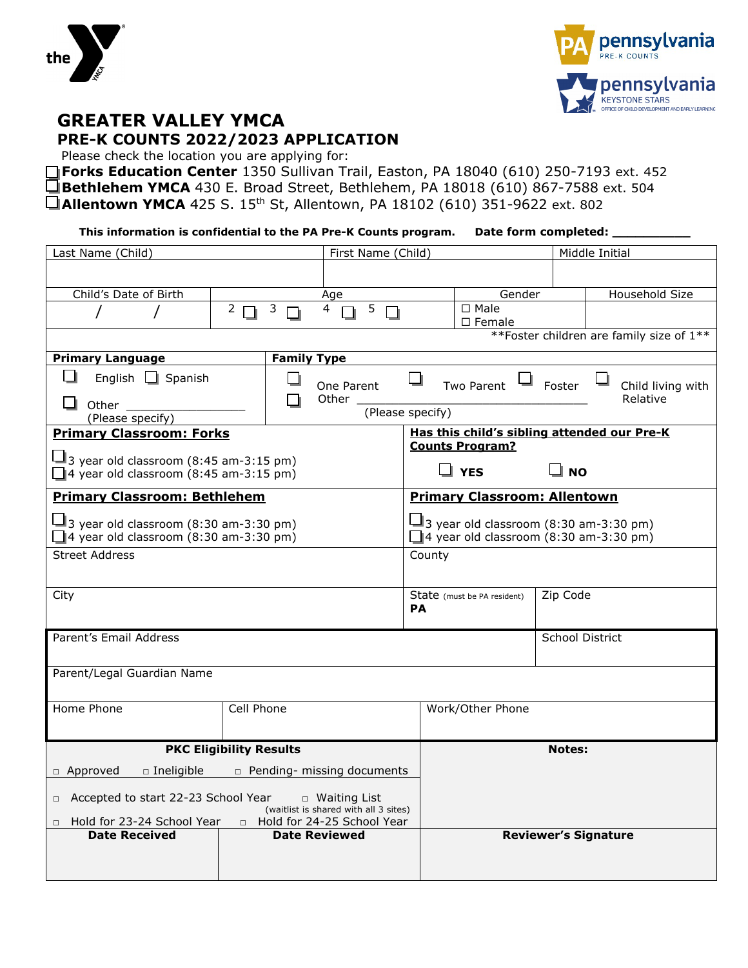



# **GREATER VALLEY YMCA PRE-K COUNTS 2022/2023 APPLICATION**

Please check the location you are applying for:

□ Forks Education Center 1350 Sullivan Trail, Easton, PA 18040 (610) 250-7193 ext. 452 **Bethlehem YMCA** 430 E. Broad Street, Bethlehem, PA 18018 (610) 867-7588 ext. 504 **Allentown YMCA** 425 S. 15th St, Allentown, PA 18102 (610) 351-9622 ext. 802

**This information is confidential to the PA Pre-K Counts program. Date form completed: \_\_\_\_\_\_\_\_\_\_**

| Last Name (Child)                                                                              |                    | First Name (Child)                                           |                                                                                                |                                     | Middle Initial  |                                           |
|------------------------------------------------------------------------------------------------|--------------------|--------------------------------------------------------------|------------------------------------------------------------------------------------------------|-------------------------------------|-----------------|-------------------------------------------|
|                                                                                                |                    |                                                              |                                                                                                |                                     |                 |                                           |
| Child's Date of Birth                                                                          |                    | Age                                                          |                                                                                                | Gender                              |                 | Household Size                            |
|                                                                                                | $2 \Box$<br>3      | 5<br>4                                                       |                                                                                                | $\square$ Male<br>□ Female          |                 |                                           |
|                                                                                                |                    |                                                              |                                                                                                |                                     |                 | ** Foster children are family size of 1** |
| <b>Primary Language</b>                                                                        | <b>Family Type</b> |                                                              |                                                                                                |                                     |                 |                                           |
| H<br>English $\Box$ Spanish<br>$\Box$ Other $\_\_$<br>(Please specify)                         |                    | One Parent<br>Other _<br>(Please specify)                    |                                                                                                | Two Parent                          | Foster          | Child living with<br>Relative             |
| <b>Primary Classroom: Forks</b>                                                                |                    |                                                              |                                                                                                |                                     |                 |                                           |
|                                                                                                |                    |                                                              | Has this child's sibling attended our Pre-K<br><b>Counts Program?</b>                          |                                     |                 |                                           |
| $\Box$ 3 year old classroom (8:45 am-3:15 pm)<br>$\Box$ 4 year old classroom (8:45 am-3:15 pm) |                    |                                                              |                                                                                                | ⊿ YES                               | ⊔ но            |                                           |
| <b>Primary Classroom: Bethlehem</b>                                                            |                    |                                                              |                                                                                                | <b>Primary Classroom: Allentown</b> |                 |                                           |
| $\Box$ 3 year old classroom (8:30 am-3:30 pm)<br>$\Box$ 4 year old classroom (8:30 am-3:30 pm) |                    |                                                              | $\Box$ 3 year old classroom (8:30 am-3:30 pm)<br>$\Box$ 4 year old classroom (8:30 am-3:30 pm) |                                     |                 |                                           |
| <b>Street Address</b>                                                                          |                    |                                                              | County                                                                                         |                                     |                 |                                           |
| City                                                                                           |                    |                                                              | <b>PA</b>                                                                                      | State (must be PA resident)         | Zip Code        |                                           |
| Parent's Email Address                                                                         |                    |                                                              |                                                                                                |                                     | School District |                                           |
| Parent/Legal Guardian Name                                                                     |                    |                                                              |                                                                                                |                                     |                 |                                           |
|                                                                                                |                    |                                                              |                                                                                                |                                     |                 |                                           |
| Home Phone                                                                                     | Cell Phone         |                                                              |                                                                                                | Work/Other Phone                    |                 |                                           |
| <b>PKC Eligibility Results</b>                                                                 |                    |                                                              |                                                                                                |                                     | <b>Notes:</b>   |                                           |
| n Approved<br>□ Ineligible □ Pending- missing documents                                        |                    |                                                              |                                                                                                |                                     |                 |                                           |
| □ Accepted to start 22-23 School Year                                                          |                    | $\Box$ Waiting List<br>(waitlist is shared with all 3 sites) |                                                                                                |                                     |                 |                                           |
| □ Hold for 23-24 School Year<br>Hold for 24-25 School Year                                     |                    |                                                              |                                                                                                |                                     |                 |                                           |
| <b>Date Received</b>                                                                           |                    | <b>Date Reviewed</b>                                         |                                                                                                |                                     |                 | <b>Reviewer's Signature</b>               |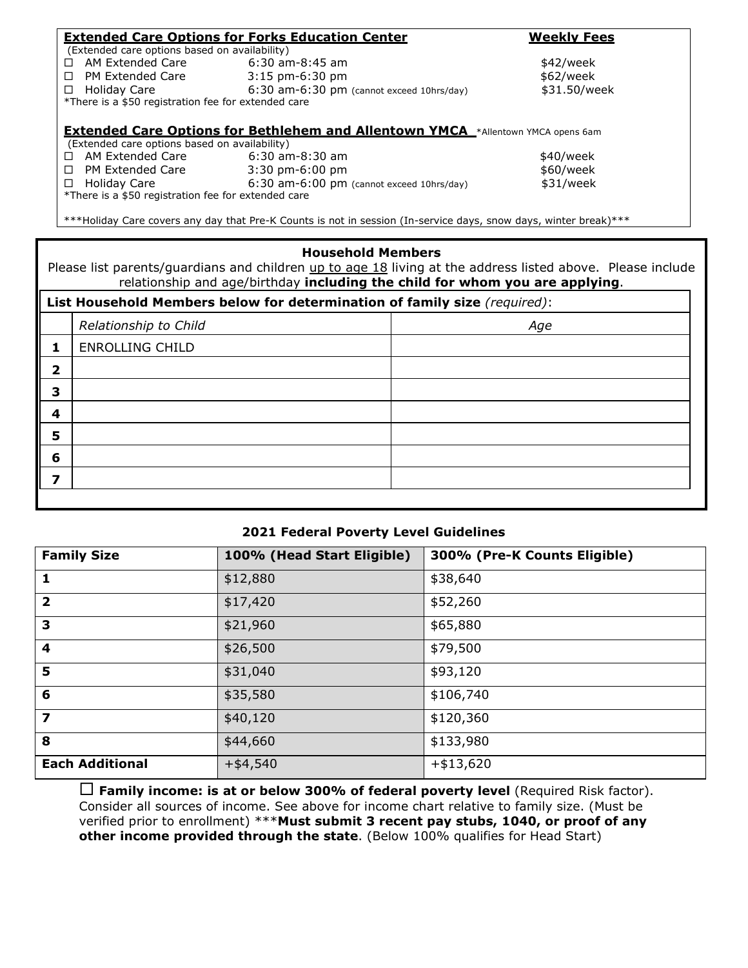|                                                     | <b>Extended Care Options for Forks Education Center</b>                                                          | <b>Weekly Fees</b> |
|-----------------------------------------------------|------------------------------------------------------------------------------------------------------------------|--------------------|
| (Extended care options based on availability)       |                                                                                                                  |                    |
| AM Extended Care<br>п                               | 6:30 am-8:45 am                                                                                                  | \$42/week          |
| □ PM Extended Care                                  | $3:15$ pm-6:30 pm                                                                                                | \$62/week          |
| □ Holiday Care                                      | 6:30 am-6:30 pm (cannot exceed 10hrs/day)                                                                        | \$31.50/week       |
| *There is a \$50 registration fee for extended care |                                                                                                                  |                    |
|                                                     |                                                                                                                  |                    |
|                                                     | <b>Extended Care Options for Bethlehem and Allentown YMCA</b> *Allentown YMCA opens 6am                          |                    |
| (Extended care options based on availability)       |                                                                                                                  |                    |
| □ AM Extended Care                                  | $6:30$ am-8:30 am                                                                                                | \$40/week          |
| $\Box$ PM Extended Care                             | 3:30 pm-6:00 pm                                                                                                  | \$60/week          |
| □ Holiday Care                                      | $6:30$ am- $6:00$ pm (cannot exceed 10hrs/day)                                                                   | \$31/week          |
| *There is a \$50 registration fee for extended care |                                                                                                                  |                    |
|                                                     |                                                                                                                  |                    |
|                                                     | ***Holiday Care covers any day that Pre-K Counts is not in session (In-service days, snow days, winter break)*** |                    |

#### **Household Members**

Please list parents/guardians and children up to age 18 living at the address listed above. Please include relationship and age/birthday **including the child for whom you are applying**.

| List Household Members below for determination of family size (required): |                        |     |  |  |
|---------------------------------------------------------------------------|------------------------|-----|--|--|
|                                                                           | Relationship to Child  | Age |  |  |
|                                                                           | <b>ENROLLING CHILD</b> |     |  |  |
| 2                                                                         |                        |     |  |  |
| 3                                                                         |                        |     |  |  |
|                                                                           |                        |     |  |  |
| 5                                                                         |                        |     |  |  |
| 6                                                                         |                        |     |  |  |
|                                                                           |                        |     |  |  |
|                                                                           |                        |     |  |  |

### **2021 Federal Poverty Level Guidelines**

| <b>Family Size</b>      | 100% (Head Start Eligible) | 300% (Pre-K Counts Eligible) |
|-------------------------|----------------------------|------------------------------|
| 1                       | \$12,880                   | \$38,640                     |
| $\overline{\mathbf{2}}$ | \$17,420                   | \$52,260                     |
| 3                       | \$21,960                   | \$65,880                     |
| 4                       | \$26,500                   | \$79,500                     |
| 5                       | \$31,040                   | \$93,120                     |
| 6                       | \$35,580                   | \$106,740                    |
| 7                       | \$40,120                   | \$120,360                    |
| 8                       | \$44,660                   | \$133,980                    |
| <b>Each Additional</b>  | $+ $4,540$                 | $+ $13,620$                  |

 **Family income: is at or below 300% of federal poverty level** (Required Risk factor). Consider all sources of income. See above for income chart relative to family size. (Must be verified prior to enrollment) \*\*\***Must submit 3 recent pay stubs, 1040, or proof of any other income provided through the state**. (Below 100% qualifies for Head Start)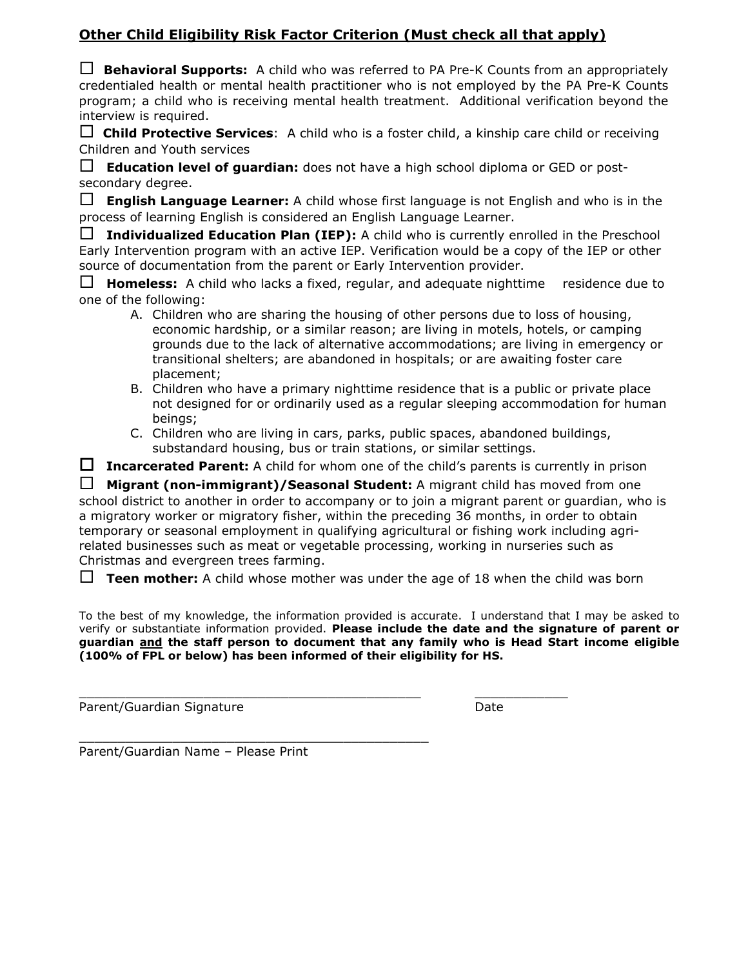## **Other Child Eligibility Risk Factor Criterion (Must check all that apply)**

 **Behavioral Supports:** A child who was referred to PA Pre-K Counts from an appropriately credentialed health or mental health practitioner who is not employed by the PA Pre-K Counts program; a child who is receiving mental health treatment. Additional verification beyond the interview is required.

 **Child Protective Services**: A child who is a foster child, a kinship care child or receiving Children and Youth services

 **Education level of guardian:** does not have a high school diploma or GED or postsecondary degree.

 **English Language Learner:** A child whose first language is not English and who is in the process of learning English is considered an English Language Learner.

 $\Box$  **Individualized Education Plan (IEP):** A child who is currently enrolled in the Preschool Early Intervention program with an active IEP. Verification would be a copy of the IEP or other source of documentation from the parent or Early Intervention provider.

 **Homeless:** A child who lacks a fixed, regular, and adequate nighttime residence due to one of the following:

- A. Children who are sharing the housing of other persons due to loss of housing, economic hardship, or a similar reason; are living in motels, hotels, or camping grounds due to the lack of alternative accommodations; are living in emergency or transitional shelters; are abandoned in hospitals; or are awaiting foster care placement;
- B. Children who have a primary nighttime residence that is a public or private place not designed for or ordinarily used as a regular sleeping accommodation for human beings;
- C. Children who are living in cars, parks, public spaces, abandoned buildings, substandard housing, bus or train stations, or similar settings.

 **Incarcerated Parent:** A child for whom one of the child's parents is currently in prison

 **Migrant (non-immigrant)/Seasonal Student:** A migrant child has moved from one school district to another in order to accompany or to join a migrant parent or guardian, who is a migratory worker or migratory fisher, within the preceding 36 months, in order to obtain temporary or seasonal employment in qualifying agricultural or fishing work including agrirelated businesses such as meat or vegetable processing, working in nurseries such as Christmas and evergreen trees farming.

**Teen mother:** A child whose mother was under the age of 18 when the child was born

 $\_$  ,  $\_$  ,  $\_$  ,  $\_$  ,  $\_$  ,  $\_$  ,  $\_$  ,  $\_$  ,  $\_$  ,  $\_$  ,  $\_$  ,  $\_$  ,  $\_$  ,  $\_$  ,  $\_$  ,  $\_$  ,  $\_$  ,  $\_$  ,  $\_$  ,  $\_$  ,  $\_$  ,  $\_$  ,  $\_$  ,  $\_$  ,  $\_$  ,  $\_$  ,  $\_$  ,  $\_$  ,  $\_$  ,  $\_$  ,  $\_$  ,  $\_$  ,  $\_$  ,  $\_$  ,  $\_$  ,  $\_$  ,  $\_$  ,

To the best of my knowledge, the information provided is accurate. I understand that I may be asked to verify or substantiate information provided. **Please include the date and the signature of parent or guardian and the staff person to document that any family who is Head Start income eligible (100% of FPL or below) has been informed of their eligibility for HS.** 

Parent/Guardian Signature **Date of Allen and Struck and Allen Allen and Date** Date

\_\_\_\_\_\_\_\_\_\_\_\_\_\_\_\_\_\_\_\_\_\_\_\_\_\_\_\_\_\_\_\_\_\_\_\_\_\_\_\_\_\_\_\_\_ Parent/Guardian Name – Please Print